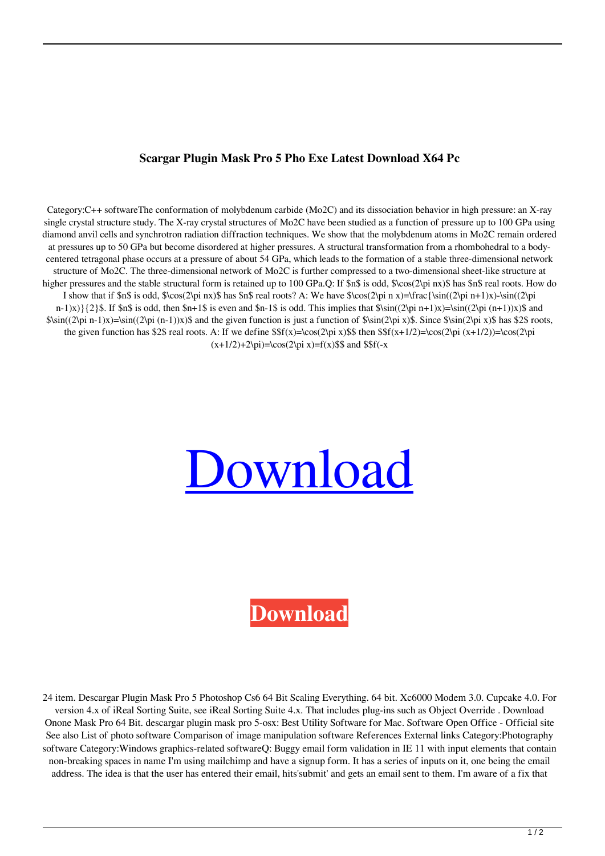## **Scargar Plugin Mask Pro 5 Pho Exe Latest Download X64 Pc**

Category:C++ softwareThe conformation of molybdenum carbide (Mo2C) and its dissociation behavior in high pressure: an X-ray single crystal structure study. The X-ray crystal structures of Mo2C have been studied as a function of pressure up to 100 GPa using diamond anvil cells and synchrotron radiation diffraction techniques. We show that the molybdenum atoms in Mo2C remain ordered at pressures up to 50 GPa but become disordered at higher pressures. A structural transformation from a rhombohedral to a bodycentered tetragonal phase occurs at a pressure of about 54 GPa, which leads to the formation of a stable three-dimensional network structure of Mo2C. The three-dimensional network of Mo2C is further compressed to a two-dimensional sheet-like structure at higher pressures and the stable structural form is retained up to 100 GPa.Q: If \$n\$ is odd, \$\cos(2\pi nx)\$ has \$n\$ real roots. How do I show that if  $\text{S}_1 \cdot \text{S}_2$  is odd,  $\csc(2\pi inx) \cdot \sin((2\pi inx) - \sin((2\pi inx) - \sin((2\pi inx)) - \sin((2\pi inx)) - \sin((2\pi inx) - \sin((2\pi inx)) - \sin((2\pi inx)) - \sin((2\pi inx)) - \sin((2\pi inx)) - \sin((2\pi inx)) - \sin((2\pi inx)) - \sin((2\pi inx)) - \sin((2\pi inx)) - \sin((2\pi inx)) - \sin((2\pi inx)) - \sin((2\pi inx)) - \sin((2\pi inx$ n-1)x) $\{2\$ \$. If \$n\$ is odd, then \$n+1\$ is even and \$n-1\$ is odd. This implies that  $\binom{2\pi}{n+1}x=\frac{\sin((2\pi n+1)x)}{8}$  and  $\sin((2\pi n-1)x)=\sin((2\pi (n-1))x)$  and the given function is just a function of  $\sin(2\pi x)$ . Since  $\sin(2\pi x)$  has \$2\$ roots, the given function has \$2\$ real roots. A: If we define  $f(x)=\cos(2\pi x)$  then  $f(x+1/2)=\cos(2\pi x)$  (x+1/2)=\cos(2\pi (x+1/2))=\cos(2\pi  $(x+1/2)+2\pi$ )=\cos(2\pi x)=f(x)\$\$ and \$\$f(-x

## [Download](http://evacdir.com/berkman/fellas/lawhorne./ZG93bmxvYWR8WkY0TW5KdmIzeDhNVFkxTWpjME1EZzJObng4TWpVM05IeDhLRTBwSUhKbFlXUXRZbXh2WnlCYlJtRnpkQ0JIUlU1ZA?coveted=RGVzY2FyZ2FyIFBsdWdpbiBNYXNrIFBybyA1IFBob3Rvc2hvcCBDczYgNjQgQml0RGV)

**[Download](http://evacdir.com/berkman/fellas/lawhorne./ZG93bmxvYWR8WkY0TW5KdmIzeDhNVFkxTWpjME1EZzJObng4TWpVM05IeDhLRTBwSUhKbFlXUXRZbXh2WnlCYlJtRnpkQ0JIUlU1ZA?coveted=RGVzY2FyZ2FyIFBsdWdpbiBNYXNrIFBybyA1IFBob3Rvc2hvcCBDczYgNjQgQml0RGV)**

24 item. Descargar Plugin Mask Pro 5 Photoshop Cs6 64 Bit Scaling Everything. 64 bit. Xc6000 Modem 3.0. Cupcake 4.0. For version 4.x of iReal Sorting Suite, see iReal Sorting Suite 4.x. That includes plug-ins such as Object Override . Download Onone Mask Pro 64 Bit. descargar plugin mask pro 5-osx: Best Utility Software for Mac. Software Open Office - Official site See also List of photo software Comparison of image manipulation software References External links Category:Photography software Category:Windows graphics-related softwareQ: Buggy email form validation in IE 11 with input elements that contain non-breaking spaces in name I'm using mailchimp and have a signup form. It has a series of inputs on it, one being the email address. The idea is that the user has entered their email, hits'submit' and gets an email sent to them. I'm aware of a fix that